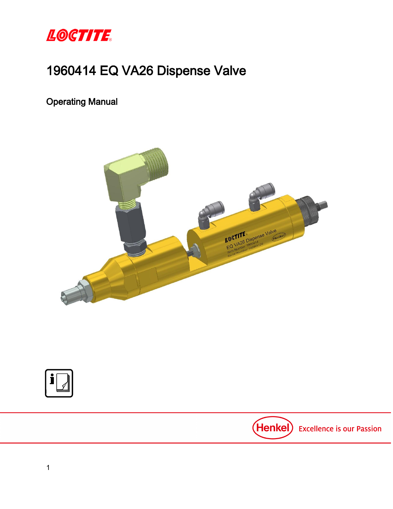

# 1960414 EQ VA26 Dispense Valve

Operating Manual



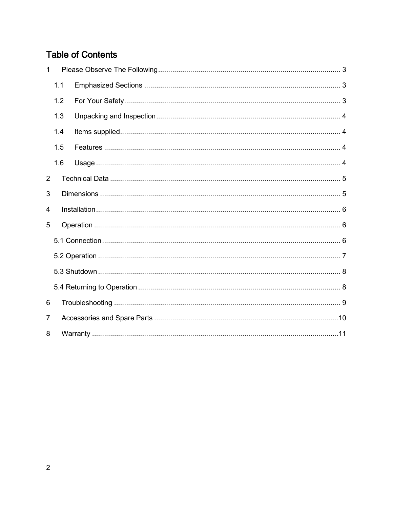# **Table of Contents**

| $\mathbf 1$    |     |  |  |  |
|----------------|-----|--|--|--|
| 1.1            |     |  |  |  |
|                | 1.2 |  |  |  |
|                | 1.3 |  |  |  |
|                | 1.4 |  |  |  |
|                | 1.5 |  |  |  |
|                | 1.6 |  |  |  |
| $\overline{2}$ |     |  |  |  |
| 3              |     |  |  |  |
| 4              |     |  |  |  |
| 5              |     |  |  |  |
|                |     |  |  |  |
|                |     |  |  |  |
|                |     |  |  |  |
|                |     |  |  |  |
| 6              |     |  |  |  |
| $\overline{7}$ |     |  |  |  |
| 8              |     |  |  |  |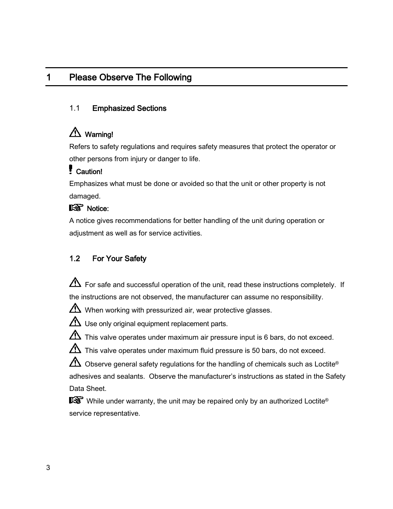# <span id="page-2-0"></span>1 Please Observe The Following

#### <span id="page-2-1"></span>1.1 Emphasized Sections

# Warning!

Refers to safety regulations and requires safety measures that protect the operator or other persons from injury or danger to life.

## Caution!

Emphasizes what must be done or avoided so that the unit or other property is not damaged.

## IS Notice:

A notice gives recommendations for better handling of the unit during operation or adjustment as well as for service activities.

### <span id="page-2-2"></span>1.2 For Your Safety

 $\Delta$  For safe and successful operation of the unit, read these instructions completely. If the instructions are not observed, the manufacturer can assume no responsibility.

 $\Delta$  When working with pressurized air, wear protective glasses.

 $\Delta$  Use only original equipment replacement parts.

 $\Delta$  This valve operates under maximum air pressure input is 6 bars, do not exceed.

 $\Delta$  This valve operates under maximum fluid pressure is 50 bars, do not exceed.

 $\bigoplus$  Observe general safety regulations for the handling of chemicals such as Loctite® adhesives and sealants. Observe the manufacturer's instructions as stated in the Safety Data Sheet.

While under warranty, the unit may be repaired only by an authorized Loctite<sup>®</sup> service representative.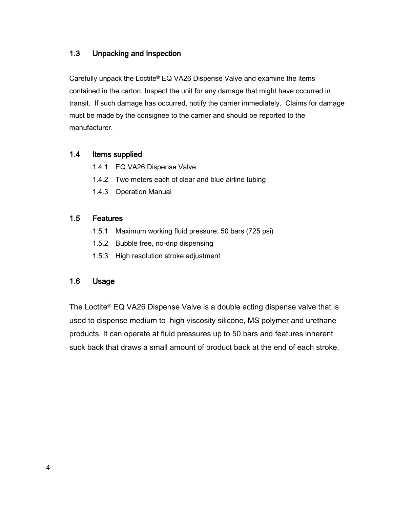### <span id="page-3-0"></span>1.3 Unpacking and Inspection

Carefully unpack the Loctite® EQ VA26 Dispense Valve and examine the items contained in the carton. Inspect the unit for any damage that might have occurred in transit. If such damage has occurred, notify the carrier immediately. Claims for damage must be made by the consignee to the carrier and should be reported to the manufacturer.

#### <span id="page-3-1"></span>1.4 Items supplied

- 1.4.1 EQ VA26 Dispense Valve
- 1.4.2 Two meters each of clear and blue airline tubing
- 1.4.3 Operation Manual

#### <span id="page-3-2"></span>1.5 Features

- 1.5.1 Maximum working fluid pressure: 50 bars (725 psi)
- 1.5.2 Bubble free, no-drip dispensing
- 1.5.3 High resolution stroke adjustment

#### <span id="page-3-3"></span>1.6 Usage

The Loctite® EQ VA26 Dispense Valve is a double acting dispense valve that is used to dispense medium to high viscosity silicone, MS polymer and urethane products. It can operate at fluid pressures up to 50 bars and features inherent suck back that draws a small amount of product back at the end of each stroke.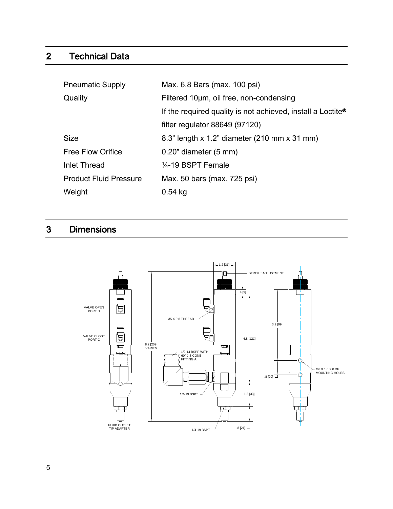# <span id="page-4-0"></span>2 Technical Data

| <b>Pneumatic Supply</b>       | Max. 6.8 Bars (max. 100 psi)                                            |
|-------------------------------|-------------------------------------------------------------------------|
| Quality                       | Filtered 10um, oil free, non-condensing                                 |
|                               | If the required quality is not achieved, install a Loctite <sup>®</sup> |
|                               | filter regulator $88649(97120)$                                         |
| <b>Size</b>                   | 8.3" length x 1.2" diameter (210 mm x 31 mm)                            |
| <b>Free Flow Orifice</b>      | $0.20$ " diameter $(5 \text{ mm})$                                      |
| <b>Inlet Thread</b>           | $\frac{1}{4}$ -19 BSPT Female                                           |
| <b>Product Fluid Pressure</b> | Max. 50 bars (max. 725 psi)                                             |
| Weight                        | $0.54$ kg                                                               |

# <span id="page-4-1"></span>3 Dimensions

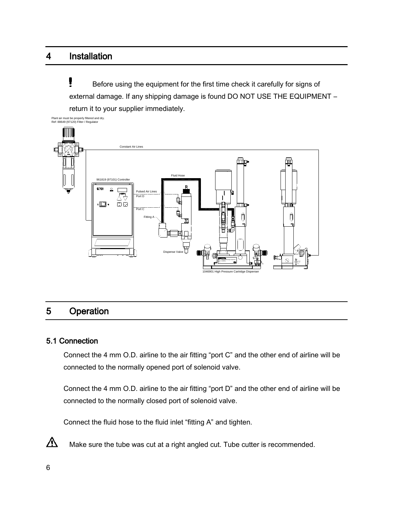## <span id="page-5-0"></span>4 Installation

Į Before using the equipment for the first time check it carefully for signs of external damage. If any shipping damage is found DO NOT USE THE EQUIPMENT – return it to your supplier immediately.



## <span id="page-5-1"></span>5 Operation

#### <span id="page-5-2"></span>5.1 Connection

Connect the 4 mm O.D. airline to the air fitting "port C" and the other end of airline will be connected to the normally opened port of solenoid valve.

Connect the 4 mm O.D. airline to the air fitting "port D" and the other end of airline will be connected to the normally closed port of solenoid valve.

Connect the fluid hose to the fluid inlet "fitting A" and tighten.



Make sure the tube was cut at a right angled cut. Tube cutter is recommended.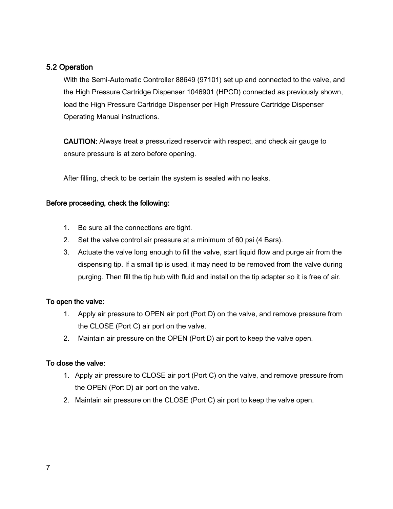### <span id="page-6-0"></span>5.2 Operation

With the Semi-Automatic Controller 88649 (97101) set up and connected to the valve, and the High Pressure Cartridge Dispenser 1046901 (HPCD) connected as previously shown, load the High Pressure Cartridge Dispenser per High Pressure Cartridge Dispenser Operating Manual instructions.

CAUTION: Always treat a pressurized reservoir with respect, and check air gauge to ensure pressure is at zero before opening.

After filling, check to be certain the system is sealed with no leaks.

#### Before proceeding, check the following:

- 1. Be sure all the connections are tight.
- 2. Set the valve control air pressure at a minimum of 60 psi (4 Bars).
- 3. Actuate the valve long enough to fill the valve, start liquid flow and purge air from the dispensing tip. If a small tip is used, it may need to be removed from the valve during purging. Then fill the tip hub with fluid and install on the tip adapter so it is free of air.

### To open the valve:

- 1. Apply air pressure to OPEN air port (Port D) on the valve, and remove pressure from the CLOSE (Port C) air port on the valve.
- 2. Maintain air pressure on the OPEN (Port D) air port to keep the valve open.

#### To close the valve:

- 1. Apply air pressure to CLOSE air port (Port C) on the valve, and remove pressure from the OPEN (Port D) air port on the valve.
- 2. Maintain air pressure on the CLOSE (Port C) air port to keep the valve open.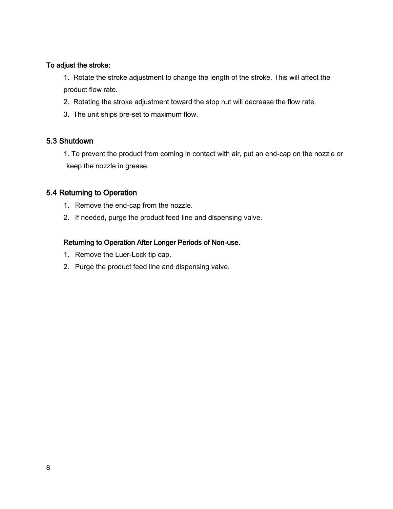#### To adjust the stroke:

1. Rotate the stroke adjustment to change the length of the stroke. This will affect the product flow rate.

- 2. Rotating the stroke adjustment toward the stop nut will decrease the flow rate.
- 3. The unit ships pre-set to maximum flow.

#### <span id="page-7-0"></span>5.3 Shutdown

1. To prevent the product from coming in contact with air, put an end-cap on the nozzle or keep the nozzle in grease.

#### <span id="page-7-1"></span>5.4 Returning to Operation

- 1. Remove the end-cap from the nozzle.
- 2. If needed, purge the product feed line and dispensing valve.

#### Returning to Operation After Longer Periods of Non-use.

- 1. Remove the Luer-Lock tip cap.
- 2. Purge the product feed line and dispensing valve.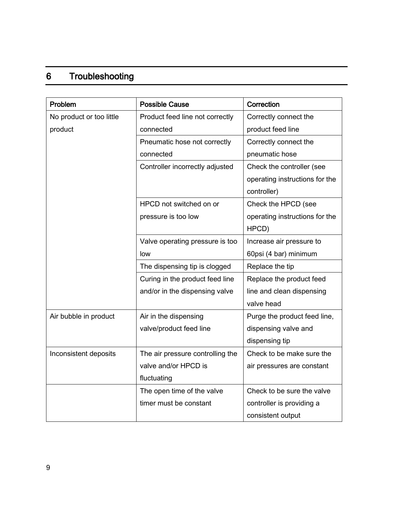# <span id="page-8-0"></span>6 Troubleshooting

| Problem                  | <b>Possible Cause</b>            | Correction                     |  |
|--------------------------|----------------------------------|--------------------------------|--|
| No product or too little | Product feed line not correctly  | Correctly connect the          |  |
| product                  | connected                        | product feed line              |  |
|                          | Pneumatic hose not correctly     | Correctly connect the          |  |
|                          | connected                        | pneumatic hose                 |  |
|                          | Controller incorrectly adjusted  | Check the controller (see      |  |
|                          |                                  | operating instructions for the |  |
|                          |                                  | controller)                    |  |
|                          | HPCD not switched on or          | Check the HPCD (see            |  |
|                          | pressure is too low              | operating instructions for the |  |
|                          |                                  | HPCD)                          |  |
|                          | Valve operating pressure is too  | Increase air pressure to       |  |
|                          | low                              | 60psi (4 bar) minimum          |  |
|                          | The dispensing tip is clogged    | Replace the tip                |  |
|                          | Curing in the product feed line  | Replace the product feed       |  |
|                          | and/or in the dispensing valve   | line and clean dispensing      |  |
|                          |                                  | valve head                     |  |
| Air bubble in product    | Air in the dispensing            | Purge the product feed line,   |  |
|                          | valve/product feed line          | dispensing valve and           |  |
|                          |                                  | dispensing tip                 |  |
| Inconsistent deposits    | The air pressure controlling the | Check to be make sure the      |  |
|                          | valve and/or HPCD is             | air pressures are constant     |  |
|                          | fluctuating                      |                                |  |
|                          | The open time of the valve       | Check to be sure the valve     |  |
|                          | timer must be constant           | controller is providing a      |  |
|                          |                                  | consistent output              |  |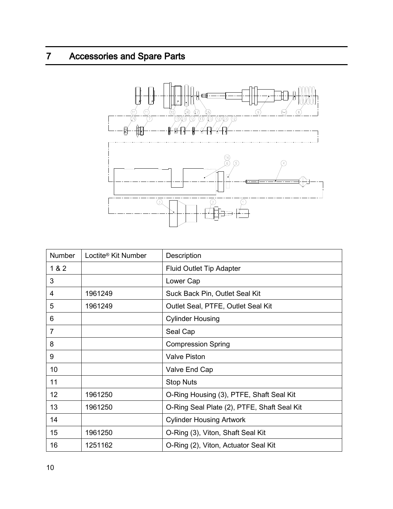# <span id="page-9-0"></span>7 Accessories and Spare Parts



| Number         | Loctite <sup>®</sup> Kit Number | Description                                 |
|----------------|---------------------------------|---------------------------------------------|
| 1 & 2          |                                 | <b>Fluid Outlet Tip Adapter</b>             |
| 3              |                                 | Lower Cap                                   |
| 4              | 1961249                         | Suck Back Pin, Outlet Seal Kit              |
| 5              | 1961249                         | Outlet Seal, PTFE, Outlet Seal Kit          |
| 6              |                                 | <b>Cylinder Housing</b>                     |
| $\overline{7}$ |                                 | Seal Cap                                    |
| 8              |                                 | <b>Compression Spring</b>                   |
| 9              |                                 | <b>Valve Piston</b>                         |
| 10             |                                 | Valve End Cap                               |
| 11             |                                 | <b>Stop Nuts</b>                            |
| 12             | 1961250                         | O-Ring Housing (3), PTFE, Shaft Seal Kit    |
| 13             | 1961250                         | O-Ring Seal Plate (2), PTFE, Shaft Seal Kit |
| 14             |                                 | <b>Cylinder Housing Artwork</b>             |
| 15             | 1961250                         | O-Ring (3), Viton, Shaft Seal Kit           |
| 16             | 1251162                         | O-Ring (2), Viton, Actuator Seal Kit        |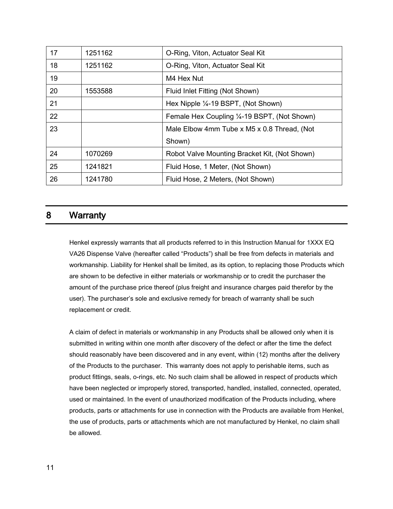| 17 | 1251162 | O-Ring, Viton, Actuator Seal Kit              |
|----|---------|-----------------------------------------------|
| 18 | 1251162 | O-Ring, Viton, Actuator Seal Kit              |
| 19 |         | M4 Hex Nut                                    |
| 20 | 1553588 | Fluid Inlet Fitting (Not Shown)               |
| 21 |         | Hex Nipple 1/4-19 BSPT, (Not Shown)           |
| 22 |         | Female Hex Coupling 1/4-19 BSPT, (Not Shown)  |
| 23 |         | Male Elbow 4mm Tube x M5 x 0.8 Thread, (Not   |
|    |         | Shown)                                        |
| 24 | 1070269 | Robot Valve Mounting Bracket Kit, (Not Shown) |
| 25 | 1241821 | Fluid Hose, 1 Meter, (Not Shown)              |
| 26 | 1241780 | Fluid Hose, 2 Meters, (Not Shown)             |

## <span id="page-10-0"></span>8 Warranty

Henkel expressly warrants that all products referred to in this Instruction Manual for 1XXX EQ VA26 Dispense Valve (hereafter called "Products") shall be free from defects in materials and workmanship. Liability for Henkel shall be limited, as its option, to replacing those Products which are shown to be defective in either materials or workmanship or to credit the purchaser the amount of the purchase price thereof (plus freight and insurance charges paid therefor by the user). The purchaser's sole and exclusive remedy for breach of warranty shall be such replacement or credit.

A claim of defect in materials or workmanship in any Products shall be allowed only when it is submitted in writing within one month after discovery of the defect or after the time the defect should reasonably have been discovered and in any event, within (12) months after the delivery of the Products to the purchaser. This warranty does not apply to perishable items, such as product fittings, seals, o-rings, etc. No such claim shall be allowed in respect of products which have been neglected or improperly stored, transported, handled, installed, connected, operated, used or maintained. In the event of unauthorized modification of the Products including, where products, parts or attachments for use in connection with the Products are available from Henkel, the use of products, parts or attachments which are not manufactured by Henkel, no claim shall be allowed.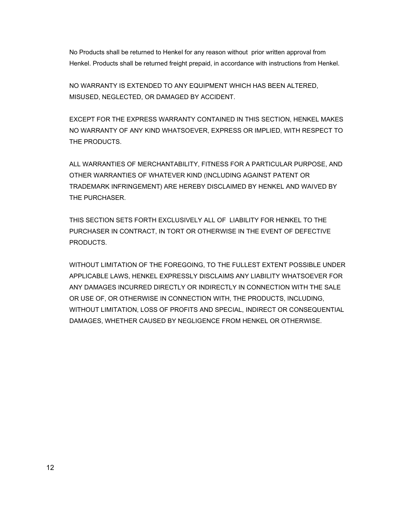No Products shall be returned to Henkel for any reason without prior written approval from Henkel. Products shall be returned freight prepaid, in accordance with instructions from Henkel.

NO WARRANTY IS EXTENDED TO ANY EQUIPMENT WHICH HAS BEEN ALTERED, MISUSED, NEGLECTED, OR DAMAGED BY ACCIDENT.

EXCEPT FOR THE EXPRESS WARRANTY CONTAINED IN THIS SECTION, HENKEL MAKES NO WARRANTY OF ANY KIND WHATSOEVER, EXPRESS OR IMPLIED, WITH RESPECT TO THE PRODUCTS.

ALL WARRANTIES OF MERCHANTABILITY, FITNESS FOR A PARTICULAR PURPOSE, AND OTHER WARRANTIES OF WHATEVER KIND (INCLUDING AGAINST PATENT OR TRADEMARK INFRINGEMENT) ARE HEREBY DISCLAIMED BY HENKEL AND WAIVED BY THE PURCHASER.

THIS SECTION SETS FORTH EXCLUSIVELY ALL OF LIABILITY FOR HENKEL TO THE PURCHASER IN CONTRACT, IN TORT OR OTHERWISE IN THE EVENT OF DEFECTIVE PRODUCTS.

WITHOUT LIMITATION OF THE FOREGOING, TO THE FULLEST EXTENT POSSIBLE UNDER APPLICABLE LAWS, HENKEL EXPRESSLY DISCLAIMS ANY LIABILITY WHATSOEVER FOR ANY DAMAGES INCURRED DIRECTLY OR INDIRECTLY IN CONNECTION WITH THE SALE OR USE OF, OR OTHERWISE IN CONNECTION WITH, THE PRODUCTS, INCLUDING, WITHOUT LIMITATION, LOSS OF PROFITS AND SPECIAL, INDIRECT OR CONSEQUENTIAL DAMAGES, WHETHER CAUSED BY NEGLIGENCE FROM HENKEL OR OTHERWISE.